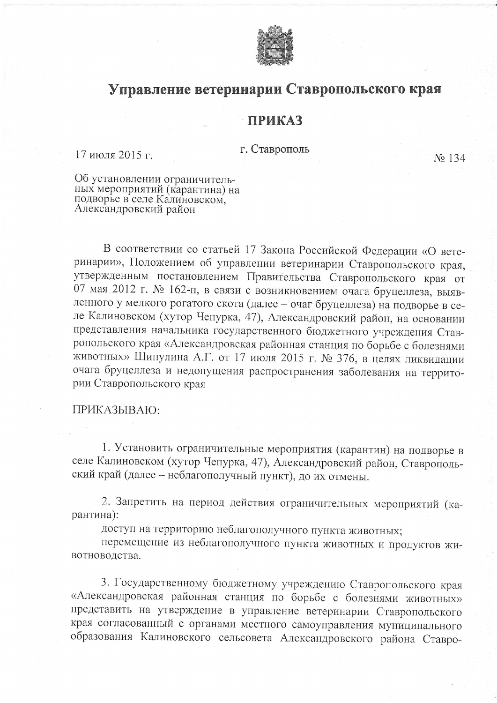

## Управление ветеринарии Ставропольского края

## **ПРИКАЗ**

г. Ставрополь

17 июля 2015 г.

No 134

Об установлении ограничительных мероприятий (карантина) на подворье в селе Калиновском, Александровский район

В соответствии со статьей 17 Закона Российской Федерации «О ветеринарии», Положением об управлении ветеринарии Ставропольского края, утвержденным постановлением Правительства Ставропольского края от 07 мая 2012 г. № 162-п, в связи с возникновением очага бруцеллеза, выявленного у мелкого рогатого скота (далее - очаг бруцеллеза) на подворье в селе Калиновском (хутор Чепурка, 47), Александровский район, на основании представления начальника государственного бюджетного учреждения Ставропольского края «Александровская районная станция по борьбе с болезнями животных» Шипулина А.Г. от 17 июля 2015 г. № 376, в целях ликвидации очага бруцеллеза и недопущения распространения заболевания на территории Ставропольского края

## ПРИКАЗЫВАЮ:

1. Установить ограничительные мероприятия (карантин) на подворье в селе Калиновском (хутор Чепурка, 47), Александровский район, Ставропольский край (далее - неблагополучный пункт), до их отмены.

2. Запретить на период действия ограничительных мероприятий (карантина):

доступ на территорию неблагополучного пункта животных;

перемещение из неблагополучного пункта животных и продуктов животноводства.

3. Государственному бюджетному учреждению Ставропольского края «Александровская районная станция по борьбе с болезнями животных» представить на утверждение в управление ветеринарии Ставропольского края согласованный с органами местного самоуправления муниципального образования Калиновского сельсовета Александровского района Ставро